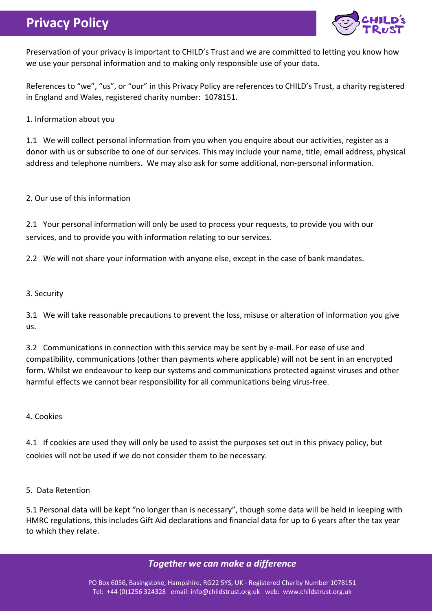# **Privacy Policy**



Preservation of your privacy is important to CHILD's Trust and we are committed to letting you know how we use your personal information and to making only responsible use of your data.

References to "we", "us", or "our" in this Privacy Policy are references to CHILD's Trust, a charity registered in England and Wales, registered charity number: 1078151.

1. Information about you

1.1 We will collect personal information from you when you enquire about our activities, register as a donor with us or subscribe to one of our services. This may include your name, title, email address, physical address and telephone numbers. We may also ask for some additional, non-personal information.

2. Our use of this information

2.1 Your personal information will only be used to process your requests, to provide you with our services, and to provide you with information relating to our services.

2.2 We will not share your information with anyone else, except in the case of bank mandates.

#### 3. Security

3.1 We will take reasonable precautions to prevent the loss, misuse or alteration of information you give us.

3.2 Communications in connection with this service may be sent by e-mail. For ease of use and compatibility, communications (other than payments where applicable) will not be sent in an encrypted form. Whilst we endeavour to keep our systems and communications protected against viruses and other harmful effects we cannot bear responsibility for all communications being virus-free.

4. Cookies

4.1 If cookies are used they will only be used to assist the purposes set out in this privacy policy, but cookies will not be used if we do not consider them to be necessary.

5. Data Retention

5.1 Personal data will be kept "no longer than is necessary", though some data will be held in keeping with HMRC regulations, this includes Gift Aid declarations and financial data for up to 6 years after the tax year to which they relate.

## *Together we can make a difference*